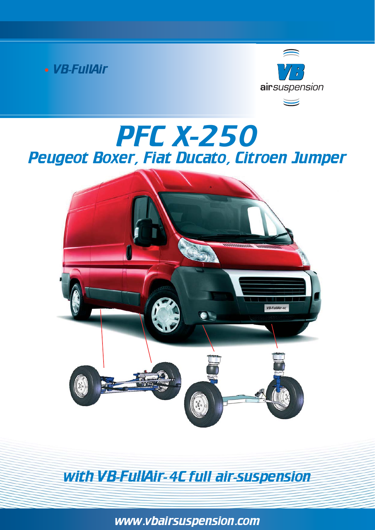



# PFC x-250 Peugeot Boxer, Fiat Ducato, Citroen Jumper



with VB-FullAir- 4C full air-suspension

www.vbairsuspension.com